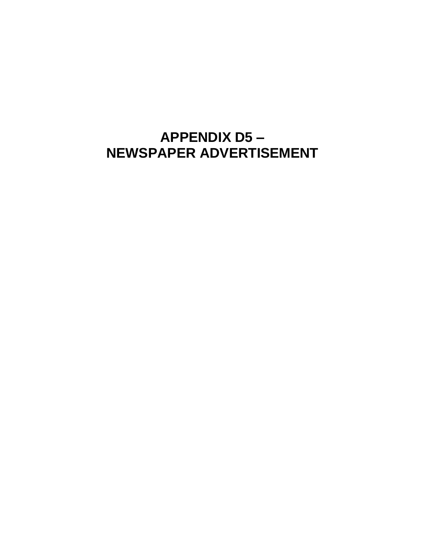## **APPENDIX D5-**NEWSPAPER ADVERTISEMENT